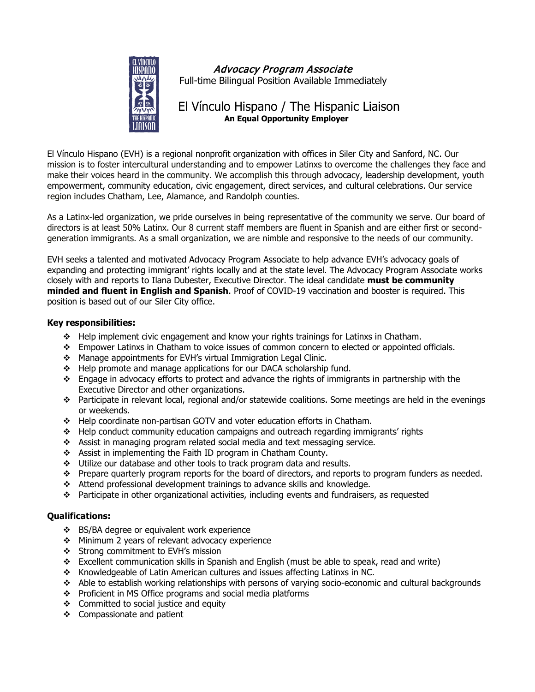

Advocacy Program Associate Full-time Bilingual Position Available Immediately

# El Vínculo Hispano / The Hispanic Liaison **An Equal Opportunity Employer**

El Vínculo Hispano (EVH) is a regional nonprofit organization with offices in Siler City and Sanford, NC. Our mission is to foster intercultural understanding and to empower Latinxs to overcome the challenges they face and make their voices heard in the community. We accomplish this through advocacy, leadership development, youth empowerment, community education, civic engagement, direct services, and cultural celebrations. Our service region includes Chatham, Lee, Alamance, and Randolph counties.

As a Latinx-led organization, we pride ourselves in being representative of the community we serve. Our board of directors is at least 50% Latinx. Our 8 current staff members are fluent in Spanish and are either first or secondgeneration immigrants. As a small organization, we are nimble and responsive to the needs of our community.

EVH seeks a talented and motivated Advocacy Program Associate to help advance EVH's advocacy goals of expanding and protecting immigrant' rights locally and at the state level. The Advocacy Program Associate works closely with and reports to Ilana Dubester, Executive Director. The ideal candidate **must be community minded and fluent in English and Spanish**. Proof of COVID-19 vaccination and booster is required. This position is based out of our Siler City office.

## **Key responsibilities:**

- $\div$  Help implement civic engagement and know your rights trainings for Latinxs in Chatham.
- \* Empower Latinxs in Chatham to voice issues of common concern to elected or appointed officials.
- Manage appointments for EVH's virtual Immigration Legal Clinic.
- ❖ Help promote and manage applications for our DACA scholarship fund.
- $\cdot \cdot$  Engage in advocacy efforts to protect and advance the rights of immigrants in partnership with the Executive Director and other organizations.
- Participate in relevant local, regional and/or statewide coalitions. Some meetings are held in the evenings or weekends.
- Help coordinate non-partisan GOTV and voter education efforts in Chatham.
- Help conduct community education campaigns and outreach regarding immigrants' rights
- Assist in managing program related social media and text messaging service.
- \* Assist in implementing the Faith ID program in Chatham County.
- $\cdot \cdot$  Utilize our database and other tools to track program data and results.
- $\cdot \cdot$  Prepare quarterly program reports for the board of directors, and reports to program funders as needed.
- Attend professional development trainings to advance skills and knowledge.
- Participate in other organizational activities, including events and fundraisers, as requested

## **Qualifications:**

- ❖ BS/BA degree or equivalent work experience
- Minimum 2 years of relevant advocacy experience
- $\div$  Strong commitment to EVH's mission
- Excellent communication skills in Spanish and English (must be able to speak, read and write)
- Knowledgeable of Latin American cultures and issues affecting Latinxs in NC.
- Able to establish working relationships with persons of varying socio-economic and cultural backgrounds
- ❖ Proficient in MS Office programs and social media platforms
- $\div$  Committed to social justice and equity
- ❖ Compassionate and patient